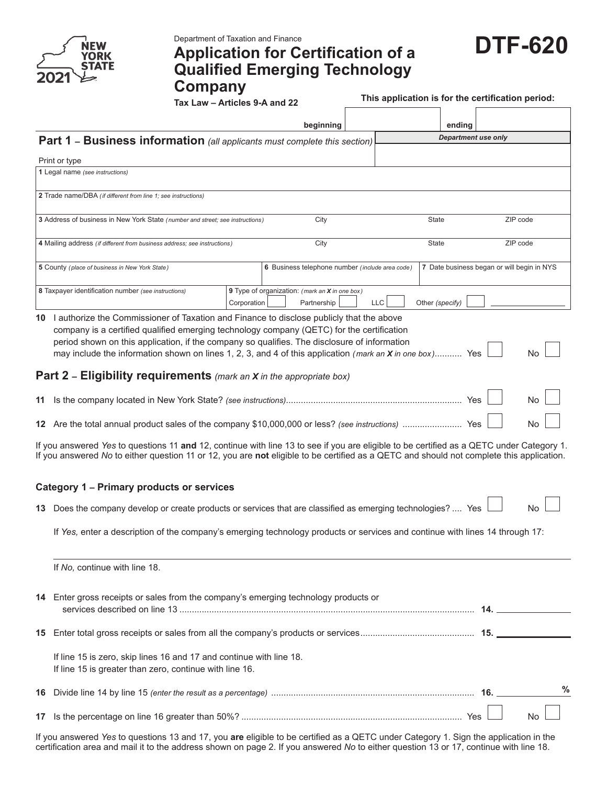

## **DTF-620** Department of Taxation and Finance **Application for Certification of a Qualified Emerging Technology Company**<br>Tax Law - Articles 9-A and 22

This application is for the certification period:

|    |                                                                                                                                                                                                                                                                                                                                                                                                                    |             | beginning                                                     |            |                 | ending                     |                                            |
|----|--------------------------------------------------------------------------------------------------------------------------------------------------------------------------------------------------------------------------------------------------------------------------------------------------------------------------------------------------------------------------------------------------------------------|-------------|---------------------------------------------------------------|------------|-----------------|----------------------------|--------------------------------------------|
|    | Part 1 - Business information (all applicants must complete this section)                                                                                                                                                                                                                                                                                                                                          |             |                                                               |            |                 | <b>Department use only</b> |                                            |
|    | Print or type                                                                                                                                                                                                                                                                                                                                                                                                      |             |                                                               |            |                 |                            |                                            |
|    | 1 Legal name (see instructions)                                                                                                                                                                                                                                                                                                                                                                                    |             |                                                               |            |                 |                            |                                            |
|    | 2 Trade name/DBA (if different from line 1; see instructions)                                                                                                                                                                                                                                                                                                                                                      |             |                                                               |            |                 |                            |                                            |
|    | 3 Address of business in New York State (number and street; see instructions)                                                                                                                                                                                                                                                                                                                                      |             | City                                                          |            | State           |                            | ZIP code                                   |
|    | 4 Mailing address (if different from business address; see instructions)                                                                                                                                                                                                                                                                                                                                           |             | City                                                          |            | State           |                            | ZIP code                                   |
|    | 5 County (place of business in New York State)                                                                                                                                                                                                                                                                                                                                                                     |             | 6 Business telephone number (include area code)               |            |                 |                            | 7 Date business began or will begin in NYS |
|    | 8 Taxpayer identification number (see instructions)                                                                                                                                                                                                                                                                                                                                                                | Corporation | 9 Type of organization: (mark an X in one box)<br>Partnership | <b>LLC</b> | Other (specify) |                            |                                            |
|    | 10 I authorize the Commissioner of Taxation and Finance to disclose publicly that the above<br>company is a certified qualified emerging technology company (QETC) for the certification<br>period shown on this application, if the company so qualifies. The disclosure of information<br>may include the information shown on lines 1, 2, 3, and 4 of this application <i>(mark an <b>X</b> in one box)</i> Yes |             |                                                               |            |                 |                            | No                                         |
|    | <b>Part 2 - Eligibility requirements</b> (mark an X in the appropriate box)                                                                                                                                                                                                                                                                                                                                        |             |                                                               |            |                 |                            |                                            |
|    |                                                                                                                                                                                                                                                                                                                                                                                                                    |             |                                                               |            |                 |                            | No                                         |
|    |                                                                                                                                                                                                                                                                                                                                                                                                                    |             |                                                               |            |                 |                            | No                                         |
|    | If you answered Yes to questions 11 and 12, continue with line 13 to see if you are eligible to be certified as a QETC under Category 1.<br>If you answered No to either question 11 or 12, you are not eligible to be certified as a QETC and should not complete this application.                                                                                                                               |             |                                                               |            |                 |                            |                                            |
|    | <b>Category 1 - Primary products or services</b>                                                                                                                                                                                                                                                                                                                                                                   |             |                                                               |            |                 |                            |                                            |
|    | 13 Does the company develop or create products or services that are classified as emerging technologies?  Yes                                                                                                                                                                                                                                                                                                      |             |                                                               |            |                 |                            | No                                         |
|    | If Yes, enter a description of the company's emerging technology products or services and continue with lines 14 through 17:                                                                                                                                                                                                                                                                                       |             |                                                               |            |                 |                            |                                            |
|    | If No, continue with line 18.                                                                                                                                                                                                                                                                                                                                                                                      |             |                                                               |            |                 |                            |                                            |
|    | 14 Enter gross receipts or sales from the company's emerging technology products or                                                                                                                                                                                                                                                                                                                                |             |                                                               |            |                 |                            |                                            |
| 15 |                                                                                                                                                                                                                                                                                                                                                                                                                    |             |                                                               |            |                 |                            |                                            |
|    | If line 15 is zero, skip lines 16 and 17 and continue with line 18.<br>If line 15 is greater than zero, continue with line 16.                                                                                                                                                                                                                                                                                     |             |                                                               |            |                 |                            |                                            |
| 16 |                                                                                                                                                                                                                                                                                                                                                                                                                    |             |                                                               |            |                 |                            | $\frac{0}{0}$                              |
| 17 |                                                                                                                                                                                                                                                                                                                                                                                                                    |             |                                                               |            |                 |                            | <b>No</b>                                  |

If you answered *Yes* to questions 13 and 17, you **are** eligible to be certified as a QETC under Category 1. Sign the application in the certification area and mail it to the address shown on page 2. If you answered *No* to either question 13 or 17, continue with line 18.